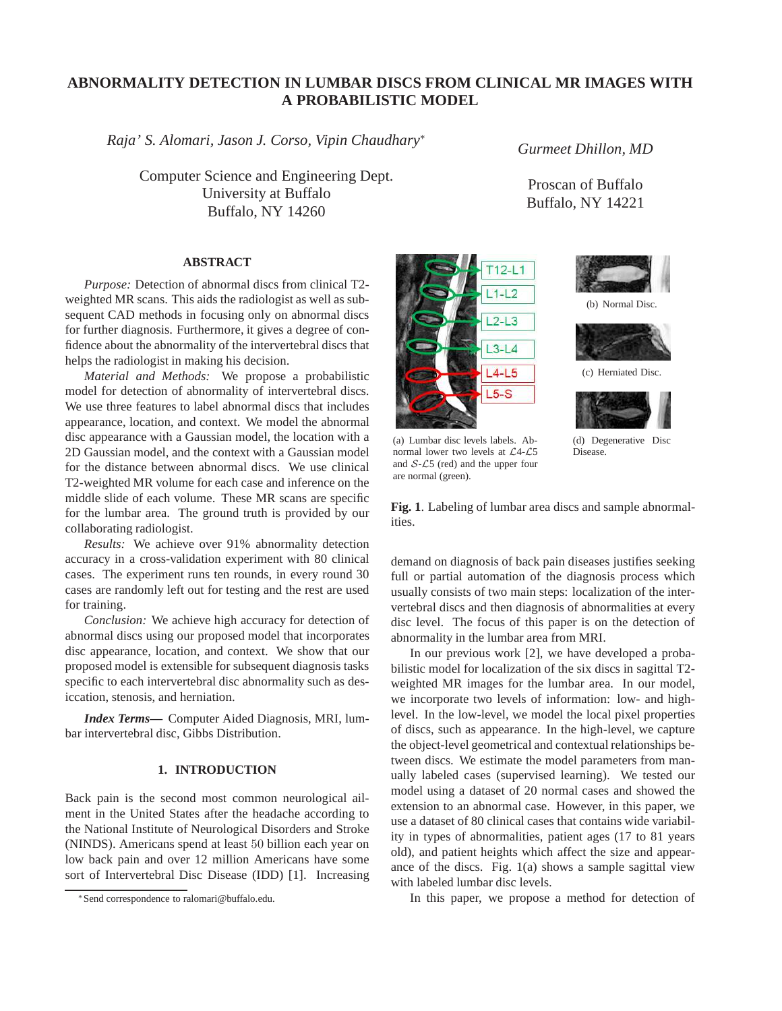# **ABNORMALITY DETECTION IN LUMBAR DISCS FROM CLINICAL MR IMAGES WITH A PROBABILISTIC MODEL**

*Raja' S. Alomari, Jason J. Corso, Vipin Chaudhary*<sup>∗</sup>

Computer Science and Engineering Dept. University at Buffalo Buffalo, NY 14260

# **ABSTRACT**

*Purpose:* Detection of abnormal discs from clinical T2 weighted MR scans. This aids the radiologist as well as subsequent CAD methods in focusing only on abnormal discs for further diagnosis. Furthermore, it gives a degree of confidence about the abnormality of the intervertebral discs that helps the radiologist in making his decision.

*Material and Methods:* We propose a probabilistic model for detection of abnormality of intervertebral discs. We use three features to label abnormal discs that includes appearance, location, and context. We model the abnormal disc appearance with a Gaussian model, the location with a 2D Gaussian model, and the context with a Gaussian model for the distance between abnormal discs. We use clinical T2-weighted MR volume for each case and inference on the middle slide of each volume. These MR scans are specific for the lumbar area. The ground truth is provided by our collaborating radiologist.

*Results:* We achieve over 91% abnormality detection accuracy in a cross-validation experiment with 80 clinical cases. The experiment runs ten rounds, in every round 30 cases are randomly left out for testing and the rest are used for training.

*Conclusion:* We achieve high accuracy for detection of abnormal discs using our proposed model that incorporates disc appearance, location, and context. We show that our proposed model is extensible for subsequent diagnosis tasks specific to each intervertebral disc abnormality such as desiccation, stenosis, and herniation.

*Index Terms***—** Computer Aided Diagnosis, MRI, lumbar intervertebral disc, Gibbs Distribution.

### **1. INTRODUCTION**

Back pain is the second most common neurological ailment in the United States after the headache according to the National Institute of Neurological Disorders and Stroke (NINDS). Americans spend at least 50 billion each year on low back pain and over 12 million Americans have some sort of Intervertebral Disc Disease (IDD) [1]. Increasing



(a) Lumbar disc levels labels. Abnormal lower two levels at L4-L5 and  $S$ - $\mathcal{L}5$  (red) and the upper four are normal (green).

*Gurmeet Dhillon, MD*

Proscan of Buffalo Buffalo, NY 14221



(b) Normal Disc.





(d) Degenerative Disc Disease.

**Fig. 1**. Labeling of lumbar area discs and sample abnormalities.

demand on diagnosis of back pain diseases justifies seeking full or partial automation of the diagnosis process which usually consists of two main steps: localization of the intervertebral discs and then diagnosis of abnormalities at every disc level. The focus of this paper is on the detection of abnormality in the lumbar area from MRI.

In our previous work [2], we have developed a probabilistic model for localization of the six discs in sagittal T2 weighted MR images for the lumbar area. In our model, we incorporate two levels of information: low- and highlevel. In the low-level, we model the local pixel properties of discs, such as appearance. In the high-level, we capture the object-level geometrical and contextual relationships between discs. We estimate the model parameters from manually labeled cases (supervised learning). We tested our model using a dataset of 20 normal cases and showed the extension to an abnormal case. However, in this paper, we use a dataset of 80 clinical cases that contains wide variability in types of abnormalities, patient ages (17 to 81 years old), and patient heights which affect the size and appearance of the discs. Fig. 1(a) shows a sample sagittal view with labeled lumbar disc levels.

In this paper, we propose a method for detection of

<sup>∗</sup>Send correspondence to ralomari@buffalo.edu.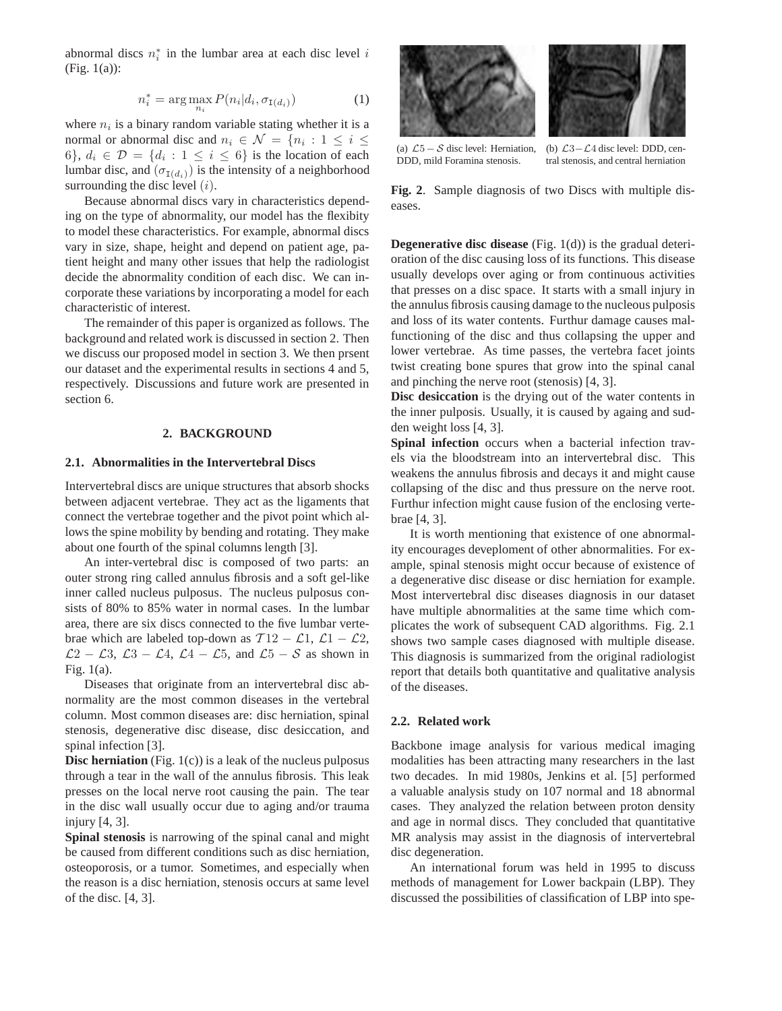abnormal discs  $n_i^*$  in the lumbar area at each disc level i (Fig. 1(a)):

$$
n_i^* = \arg\max_{n_i} P(n_i|d_i, \sigma_{I(d_i)})
$$
\n(1)

where  $n_i$  is a binary random variable stating whether it is a normal or abnormal disc and  $n_i \in \mathcal{N} = \{n_i : 1 \leq i \leq n_i\}$ 6,  $d_i \in \mathcal{D} = \{d_i : 1 \leq i \leq 6\}$  is the location of each lumbar disc, and  $(\sigma_{I(d_i)})$  is the intensity of a neighborhood surrounding the disc level  $(i)$ .

Because abnormal discs vary in characteristics depending on the type of abnormality, our model has the flexibity to model these characteristics. For example, abnormal discs vary in size, shape, height and depend on patient age, patient height and many other issues that help the radiologist decide the abnormality condition of each disc. We can incorporate these variations by incorporating a model for each characteristic of interest.

The remainder of this paper is organized as follows. The background and related work is discussed in section 2. Then we discuss our proposed model in section 3. We then prsent our dataset and the experimental results in sections 4 and 5, respectively. Discussions and future work are presented in section 6.

### **2. BACKGROUND**

### **2.1. Abnormalities in the Intervertebral Discs**

Intervertebral discs are unique structures that absorb shocks between adjacent vertebrae. They act as the ligaments that connect the vertebrae together and the pivot point which allows the spine mobility by bending and rotating. They make about one fourth of the spinal columns length [3].

An inter-vertebral disc is composed of two parts: an outer strong ring called annulus fibrosis and a soft gel-like inner called nucleus pulposus. The nucleus pulposus consists of 80% to 85% water in normal cases. In the lumbar area, there are six discs connected to the five lumbar vertebrae which are labeled top-down as  $T12 - \mathcal{L}1$ ,  $\mathcal{L}1 - \mathcal{L}2$ ,  $\mathcal{L}2 - \mathcal{L}3$ ,  $\mathcal{L}3 - \mathcal{L}4$ ,  $\mathcal{L}4 - \mathcal{L}5$ , and  $\mathcal{L}5 - \mathcal{S}$  as shown in Fig. 1(a).

Diseases that originate from an intervertebral disc abnormality are the most common diseases in the vertebral column. Most common diseases are: disc herniation, spinal stenosis, degenerative disc disease, disc desiccation, and spinal infection [3].

**Disc herniation** (Fig. 1(c)) is a leak of the nucleus pulposus through a tear in the wall of the annulus fibrosis. This leak presses on the local nerve root causing the pain. The tear in the disc wall usually occur due to aging and/or trauma injury [4, 3].

**Spinal stenosis** is narrowing of the spinal canal and might be caused from different conditions such as disc herniation, osteoporosis, or a tumor. Sometimes, and especially when the reason is a disc herniation, stenosis occurs at same level of the disc. [4, 3].



(a)  $\mathcal{L}5 - \mathcal{S}$  disc level: Herniation, DDD, mild Foramina stenosis.

(b) L3−L4 disc level: DDD, central stenosis, and central herniation

**Fig. 2**. Sample diagnosis of two Discs with multiple diseases.

**Degenerative disc disease** (Fig. 1(d)) is the gradual deterioration of the disc causing loss of its functions. This disease usually develops over aging or from continuous activities that presses on a disc space. It starts with a small injury in the annulus fibrosis causing damage to the nucleous pulposis and loss of its water contents. Furthur damage causes malfunctioning of the disc and thus collapsing the upper and lower vertebrae. As time passes, the vertebra facet joints twist creating bone spures that grow into the spinal canal and pinching the nerve root (stenosis) [4, 3].

**Disc desiccation** is the drying out of the water contents in the inner pulposis. Usually, it is caused by againg and sudden weight loss [4, 3].

**Spinal infection** occurs when a bacterial infection travels via the bloodstream into an intervertebral disc. This weakens the annulus fibrosis and decays it and might cause collapsing of the disc and thus pressure on the nerve root. Furthur infection might cause fusion of the enclosing vertebrae [4, 3].

It is worth mentioning that existence of one abnormality encourages deveploment of other abnormalities. For example, spinal stenosis might occur because of existence of a degenerative disc disease or disc herniation for example. Most intervertebral disc diseases diagnosis in our dataset have multiple abnormalities at the same time which complicates the work of subsequent CAD algorithms. Fig. 2.1 shows two sample cases diagnosed with multiple disease. This diagnosis is summarized from the original radiologist report that details both quantitative and qualitative analysis of the diseases.

### **2.2. Related work**

Backbone image analysis for various medical imaging modalities has been attracting many researchers in the last two decades. In mid 1980s, Jenkins et al. [5] performed a valuable analysis study on 107 normal and 18 abnormal cases. They analyzed the relation between proton density and age in normal discs. They concluded that quantitative MR analysis may assist in the diagnosis of intervertebral disc degeneration.

An international forum was held in 1995 to discuss methods of management for Lower backpain (LBP). They discussed the possibilities of classification of LBP into spe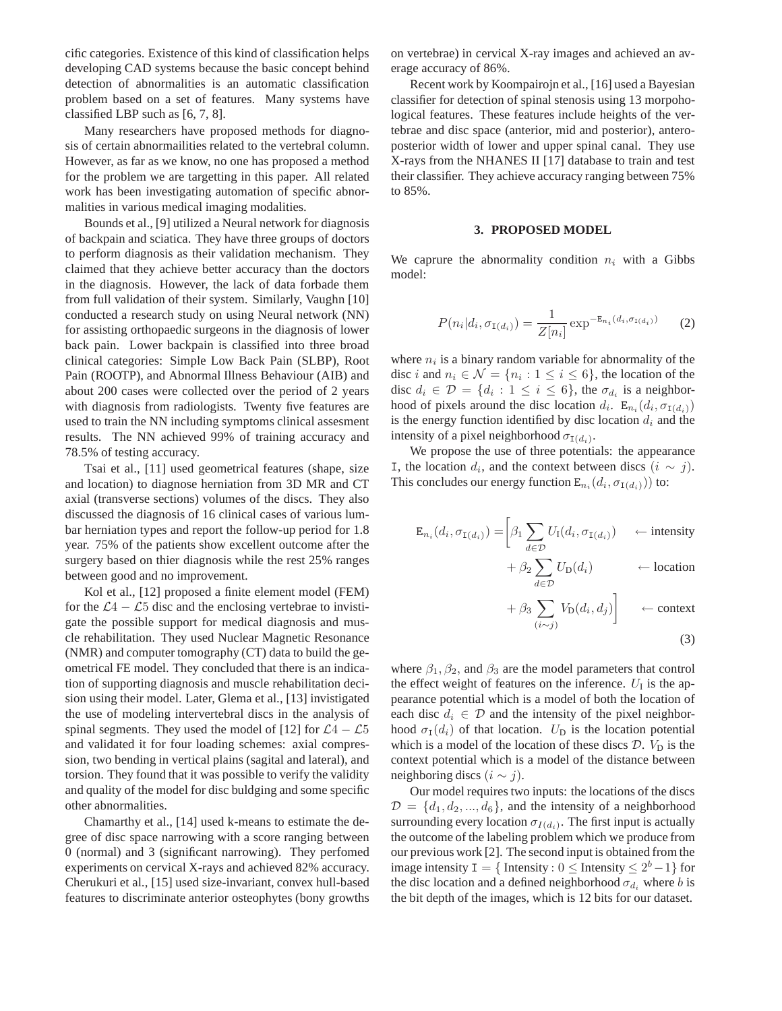cific categories. Existence of this kind of classification helps developing CAD systems because the basic concept behind detection of abnormalities is an automatic classification problem based on a set of features. Many systems have classified LBP such as [6, 7, 8].

Many researchers have proposed methods for diagnosis of certain abnormailities related to the vertebral column. However, as far as we know, no one has proposed a method for the problem we are targetting in this paper. All related work has been investigating automation of specific abnormalities in various medical imaging modalities.

Bounds et al., [9] utilized a Neural network for diagnosis of backpain and sciatica. They have three groups of doctors to perform diagnosis as their validation mechanism. They claimed that they achieve better accuracy than the doctors in the diagnosis. However, the lack of data forbade them from full validation of their system. Similarly, Vaughn [10] conducted a research study on using Neural network (NN) for assisting orthopaedic surgeons in the diagnosis of lower back pain. Lower backpain is classified into three broad clinical categories: Simple Low Back Pain (SLBP), Root Pain (ROOTP), and Abnormal Illness Behaviour (AIB) and about 200 cases were collected over the period of 2 years with diagnosis from radiologists. Twenty five features are used to train the NN including symptoms clinical assesment results. The NN achieved 99% of training accuracy and 78.5% of testing accuracy.

Tsai et al., [11] used geometrical features (shape, size and location) to diagnose herniation from 3D MR and CT axial (transverse sections) volumes of the discs. They also discussed the diagnosis of 16 clinical cases of various lumbar herniation types and report the follow-up period for 1.8 year. 75% of the patients show excellent outcome after the surgery based on thier diagnosis while the rest 25% ranges between good and no improvement.

Kol et al., [12] proposed a finite element model (FEM) for the  $\mathcal{L}4 - \mathcal{L}5$  disc and the enclosing vertebrae to invistigate the possible support for medical diagnosis and muscle rehabilitation. They used Nuclear Magnetic Resonance (NMR) and computer tomography (CT) data to build the geometrical FE model. They concluded that there is an indication of supporting diagnosis and muscle rehabilitation decision using their model. Later, Glema et al., [13] invistigated the use of modeling intervertebral discs in the analysis of spinal segments. They used the model of [12] for  $\mathcal{L}4 - \mathcal{L}5$ and validated it for four loading schemes: axial compression, two bending in vertical plains (sagital and lateral), and torsion. They found that it was possible to verify the validity and quality of the model for disc buldging and some specific other abnormalities.

Chamarthy et al., [14] used k-means to estimate the degree of disc space narrowing with a score ranging between 0 (normal) and 3 (significant narrowing). They perfomed experiments on cervical X-rays and achieved 82% accuracy. Cherukuri et al., [15] used size-invariant, convex hull-based features to discriminate anterior osteophytes (bony growths on vertebrae) in cervical X-ray images and achieved an average accuracy of 86%.

Recent work by Koompairojn et al., [16] used a Bayesian classifier for detection of spinal stenosis using 13 morpohological features. These features include heights of the vertebrae and disc space (anterior, mid and posterior), anteroposterior width of lower and upper spinal canal. They use X-rays from the NHANES II [17] database to train and test their classifier. They achieve accuracy ranging between 75% to 85%.

### **3. PROPOSED MODEL**

We caprure the abnormality condition  $n_i$  with a Gibbs model:

$$
P(n_i|d_i, \sigma_{I(d_i)}) = \frac{1}{Z[n_i]} \exp^{-\mathbb{E}_{n_i}(d_i, \sigma_{I(d_i)})}
$$
 (2)

where  $n_i$  is a binary random variable for abnormality of the disc *i* and  $n_i \in \mathcal{N} = \{n_i : 1 \le i \le 6\}$ , the location of the disc  $d_i \in \mathcal{D} = \{d_i : 1 \leq i \leq 6\}$ , the  $\sigma_{d_i}$  is a neighborhood of pixels around the disc location  $d_i$ .  $E_{n_i}(d_i, \sigma_{I(d_i)})$ is the energy function identified by disc location  $d_i$  and the intensity of a pixel neighborhood  $\sigma_{I(d_i)}$ .

We propose the use of three potentials: the appearance I, the location  $d_i$ , and the context between discs  $(i ∼ j)$ . This concludes our energy function  $\mathbb{E}_{n_i}(d_i, \sigma_{\mathbb{I}(d_i)}))$  to:

$$
\mathbf{E}_{n_i}(d_i, \sigma_{\mathbf{I}(d_i)}) = \begin{bmatrix} \beta_1 \sum_{d \in \mathcal{D}} U_{\mathbf{I}}(d_i, \sigma_{\mathbf{I}(d_i)}) & \leftarrow \text{intensity} \end{bmatrix}
$$

$$
+ \beta_2 \sum_{d \in \mathcal{D}} U_{\text{D}}(d_i) \qquad \leftarrow \text{location}
$$

$$
+ \beta_3 \sum_{(i \sim j)} V_{\mathcal{D}}(d_i, d_j) \Bigg] \leftarrow \text{context}
$$

$$
(\mathbf{3})
$$

where  $\beta_1, \beta_2$ , and  $\beta_3$  are the model parameters that control the effect weight of features on the inference.  $U_I$  is the appearance potential which is a model of both the location of each disc  $d_i \in \mathcal{D}$  and the intensity of the pixel neighborhood  $\sigma_{I}(d_i)$  of that location.  $U_D$  is the location potential which is a model of the location of these discs  $\mathcal{D}$ .  $V_D$  is the context potential which is a model of the distance between neighboring discs  $(i \sim j)$ .

Our model requires two inputs: the locations of the discs  $\mathcal{D} = \{d_1, d_2, ..., d_6\}$ , and the intensity of a neighborhood surrounding every location  $\sigma_{I(d_i)}$ . The first input is actually the outcome of the labeling problem which we produce from our previous work [2]. The second input is obtained from the image intensity  $I = \{$  Intensity :  $0 \leq$  Intensity  $\leq 2^b - 1\}$  for the disc location and a defined neighborhood  $\sigma_{d_i}$  where b is the bit depth of the images, which is 12 bits for our dataset.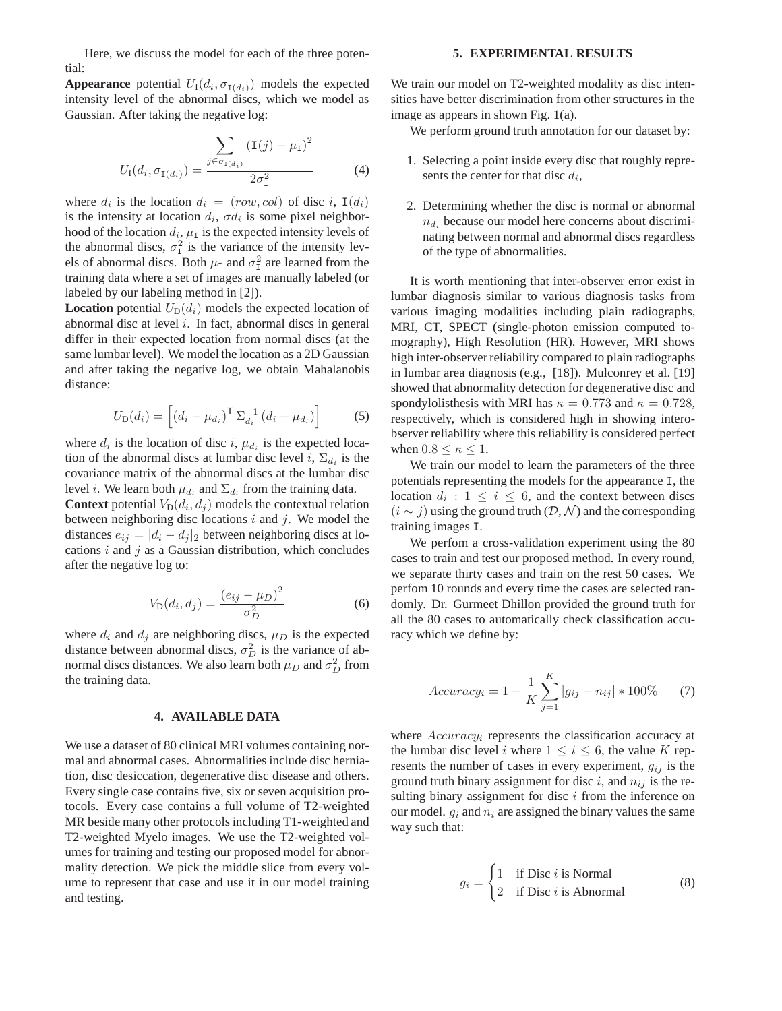Here, we discuss the model for each of the three potential:

**Appearance** potential  $U_1(d_i, \sigma_{I(d_i)})$  models the expected intensity level of the abnormal discs, which we model as Gaussian. After taking the negative log:

$$
U_{\rm I}(d_i, \sigma_{{\rm I}(d_i)}) = \frac{\sum_{j \in \sigma_{{\rm I}(d_i)}} (\rm I(j) - \mu_{\rm I})^2}{2\sigma_{\rm I}^2} \tag{4}
$$

where  $d_i$  is the location  $d_i = (row, col)$  of disc i,  $I(d_i)$ is the intensity at location  $d_i$ ,  $\sigma d_i$  is some pixel neighborhood of the location  $d_i$ ,  $\mu_I$  is the expected intensity levels of the abnormal discs,  $\sigma_1^2$  is the variance of the intensity levels of abnormal discs. Both  $\mu_I$  and  $\sigma_I^2$  are learned from the training data where a set of images are manually labeled (or labeled by our labeling method in [2]).

**Location** potential  $U_D(d_i)$  models the expected location of abnormal disc at level  $i$ . In fact, abnormal discs in general differ in their expected location from normal discs (at the same lumbar level). We model the location as a 2D Gaussian and after taking the negative log, we obtain Mahalanobis distance:

$$
U_{\mathcal{D}}(d_i) = \left[ \left( d_i - \mu_{d_i} \right)^{\mathsf{T}} \Sigma_{d_i}^{-1} \left( d_i - \mu_{d_i} \right) \right] \tag{5}
$$

where  $d_i$  is the location of disc i,  $\mu_{d_i}$  is the expected location of the abnormal discs at lumbar disc level i,  $\Sigma_{d_i}$  is the covariance matrix of the abnormal discs at the lumbar disc level *i*. We learn both  $\mu_{d_i}$  and  $\Sigma_{d_i}$  from the training data.

**Context** potential  $V_D(d_i, d_j)$  models the contextual relation between neighboring disc locations  $i$  and  $j$ . We model the distances  $e_{ij} = |d_i - d_j|_2$  between neighboring discs at locations  $i$  and  $j$  as a Gaussian distribution, which concludes after the negative log to:

$$
V_{\mathcal{D}}(d_i, d_j) = \frac{(e_{ij} - \mu_D)^2}{\sigma_D^2}
$$
 (6)

where  $d_i$  and  $d_j$  are neighboring discs,  $\mu_D$  is the expected distance between abnormal discs,  $\sigma_D^2$  is the variance of abnormal discs distances. We also learn both  $\mu_D$  and  $\sigma_D^2$  from the training data.

### **4. AVAILABLE DATA**

We use a dataset of 80 clinical MRI volumes containing normal and abnormal cases. Abnormalities include disc herniation, disc desiccation, degenerative disc disease and others. Every single case contains five, six or seven acquisition protocols. Every case contains a full volume of T2-weighted MR beside many other protocols including T1-weighted and T2-weighted Myelo images. We use the T2-weighted volumes for training and testing our proposed model for abnormality detection. We pick the middle slice from every volume to represent that case and use it in our model training and testing.

#### **5. EXPERIMENTAL RESULTS**

We train our model on T2-weighted modality as disc intensities have better discrimination from other structures in the image as appears in shown Fig. 1(a).

We perform ground truth annotation for our dataset by:

- 1. Selecting a point inside every disc that roughly represents the center for that disc  $d_i$ ,
- 2. Determining whether the disc is normal or abnormal  $n_{d_i}$  because our model here concerns about discriminating between normal and abnormal discs regardless of the type of abnormalities.

It is worth mentioning that inter-observer error exist in lumbar diagnosis similar to various diagnosis tasks from various imaging modalities including plain radiographs, MRI, CT, SPECT (single-photon emission computed tomography), High Resolution (HR). However, MRI shows high inter-observer reliability compared to plain radiographs in lumbar area diagnosis (e.g., [18]). Mulconrey et al. [19] showed that abnormality detection for degenerative disc and spondylolisthesis with MRI has  $\kappa = 0.773$  and  $\kappa = 0.728$ , respectively, which is considered high in showing interobserver reliability where this reliability is considered perfect when  $0.8 \leq \kappa \leq 1$ .

We train our model to learn the parameters of the three potentials representing the models for the appearance I, the location  $d_i: 1 \leq i \leq 6$ , and the context between discs  $(i \sim j)$  using the ground truth  $(D, \mathcal{N})$  and the corresponding training images I.

We perfom a cross-validation experiment using the 80 cases to train and test our proposed method. In every round, we separate thirty cases and train on the rest 50 cases. We perfom 10 rounds and every time the cases are selected randomly. Dr. Gurmeet Dhillon provided the ground truth for all the 80 cases to automatically check classification accuracy which we define by:

$$
Accuracy_i = 1 - \frac{1}{K} \sum_{j=1}^{K} |g_{ij} - n_{ij}| * 100\% \tag{7}
$$

where  $Accuracy_i$  represents the classification accuracy at the lumbar disc level i where  $1 \le i \le 6$ , the value K represents the number of cases in every experiment,  $g_{ij}$  is the ground truth binary assignment for disc i, and  $n_{ij}$  is the resulting binary assignment for disc  $i$  from the inference on our model.  $q_i$  and  $n_i$  are assigned the binary values the same way such that:

$$
g_i = \begin{cases} 1 & \text{if Disc } i \text{ is Normal} \\ 2 & \text{if Disc } i \text{ is Abnormal} \end{cases}
$$
 (8)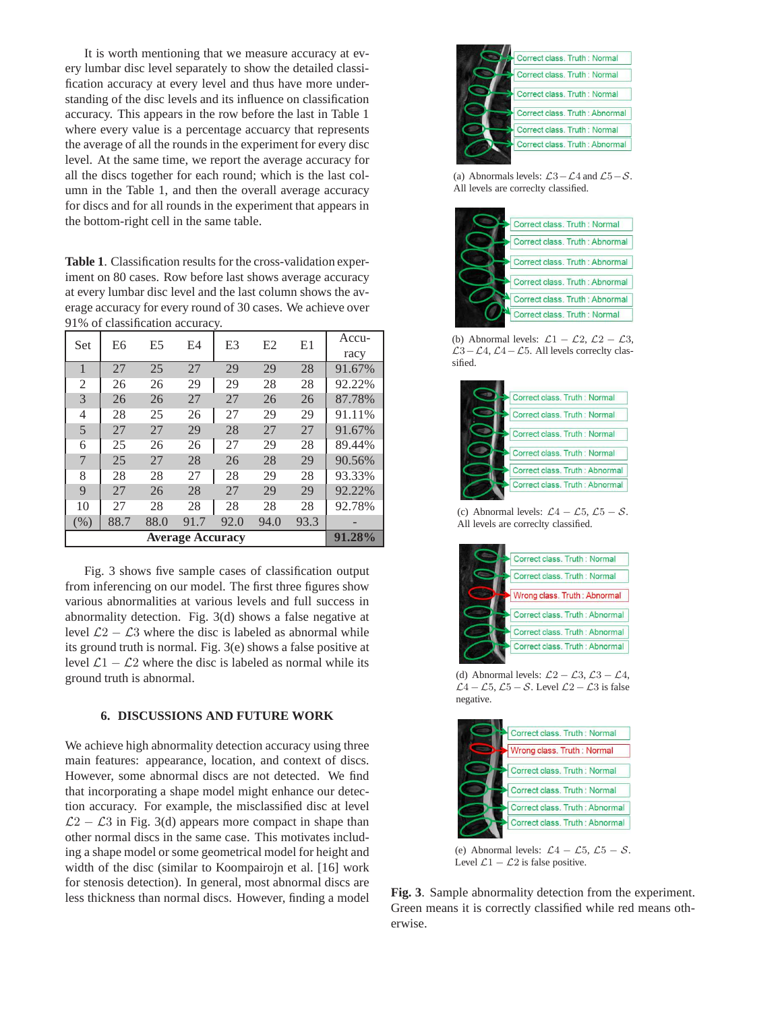It is worth mentioning that we measure accuracy at every lumbar disc level separately to show the detailed classification accuracy at every level and thus have more understanding of the disc levels and its influence on classification accuracy. This appears in the row before the last in Table 1 where every value is a percentage accuarcy that represents the average of all the rounds in the experiment for every disc level. At the same time, we report the average accuracy for all the discs together for each round; which is the last column in the Table 1, and then the overall average accuracy for discs and for all rounds in the experiment that appears in the bottom-right cell in the same table.

**Table 1**. Classification results for the cross-validation experiment on 80 cases. Row before last shows average accuracy at every lumbar disc level and the last column shows the average accuracy for every round of 30 cases. We achieve over 91% of classification accuracy.

| Set                     | E <sub>6</sub> | E <sub>5</sub> | E <sub>4</sub> | E <sub>3</sub> | E2   | E1   | Accu-  |
|-------------------------|----------------|----------------|----------------|----------------|------|------|--------|
|                         |                |                |                |                |      |      | racy   |
| 1                       | 27             | 25             | 27             | 29             | 29   | 28   | 91.67% |
| 2                       | 26             | 26             | 29             | 29             | 28   | 28   | 92.22% |
| 3                       | 26             | 26             | 27             | 27             | 26   | 26   | 87.78% |
| 4                       | 28             | 25             | 26             | 27             | 29   | 29   | 91.11% |
| 5                       | 27             | 27             | 29             | 28             | 27   | 27   | 91.67% |
| 6                       | 25             | 26             | 26             | 27             | 29   | 28   | 89.44% |
| 7                       | 25             | 27             | 28             | 26             | 28   | 29   | 90.56% |
| 8                       | 28             | 28             | 27             | 28             | 29   | 28   | 93.33% |
| 9                       | 27             | 26             | 28             | 27             | 29   | 29   | 92.22% |
| 10                      | 27             | 28             | 28             | 28             | 28   | 28   | 92.78% |
| (% )                    | 88.7           | 88.0           | 91.7           | 92.0           | 94.0 | 93.3 |        |
| <b>Average Accuracy</b> |                |                |                |                |      |      | 91.28% |

Fig. 3 shows five sample cases of classification output from inferencing on our model. The first three figures show various abnormalities at various levels and full success in abnormality detection. Fig. 3(d) shows a false negative at level  $\mathcal{L}2 - \mathcal{L}3$  where the disc is labeled as abnormal while its ground truth is normal. Fig. 3(e) shows a false positive at level  $\mathcal{L}1 - \mathcal{L}2$  where the disc is labeled as normal while its ground truth is abnormal.

# **6. DISCUSSIONS AND FUTURE WORK**

We achieve high abnormality detection accuracy using three main features: appearance, location, and context of discs. However, some abnormal discs are not detected. We find that incorporating a shape model might enhance our detection accuracy. For example, the misclassified disc at level  $\mathcal{L}2 - \mathcal{L}3$  in Fig. 3(d) appears more compact in shape than other normal discs in the same case. This motivates including a shape model or some geometrical model for height and width of the disc (similar to Koompairojn et al. [16] work for stenosis detection). In general, most abnormal discs are less thickness than normal discs. However, finding a model



(a) Abnormals levels:  $\mathcal{L}3-\mathcal{L}4$  and  $\mathcal{L}5-\mathcal{S}$ . All levels are correclty classified.



(b) Abnormal levels:  $\mathcal{L}1 - \mathcal{L}2$ ,  $\mathcal{L}2 - \mathcal{L}3$ ,  $\mathcal{L}3-\mathcal{L}4$ ,  $\mathcal{L}4-\mathcal{L}5$ . All levels correclty classified.



(c) Abnormal levels:  $\mathcal{L}4 - \mathcal{L}5$ ,  $\mathcal{L}5 - \mathcal{S}$ . All levels are correclty classified.



(d) Abnormal levels:  $\mathcal{L}2 - \mathcal{L}3$ ,  $\mathcal{L}3 - \mathcal{L}4$ ,  $\mathcal{L}4 - \mathcal{L}5$ ,  $\mathcal{L}5 - \mathcal{S}$ . Level  $\mathcal{L}2 - \mathcal{L}3$  is false negative.



(e) Abnormal levels:  $\mathcal{L}4 - \mathcal{L}5$ ,  $\mathcal{L}5 - \mathcal{S}$ . Level  $\mathcal{L}1 - \mathcal{L}2$  is false positive.

**Fig. 3**. Sample abnormality detection from the experiment. Green means it is correctly classified while red means otherwise.